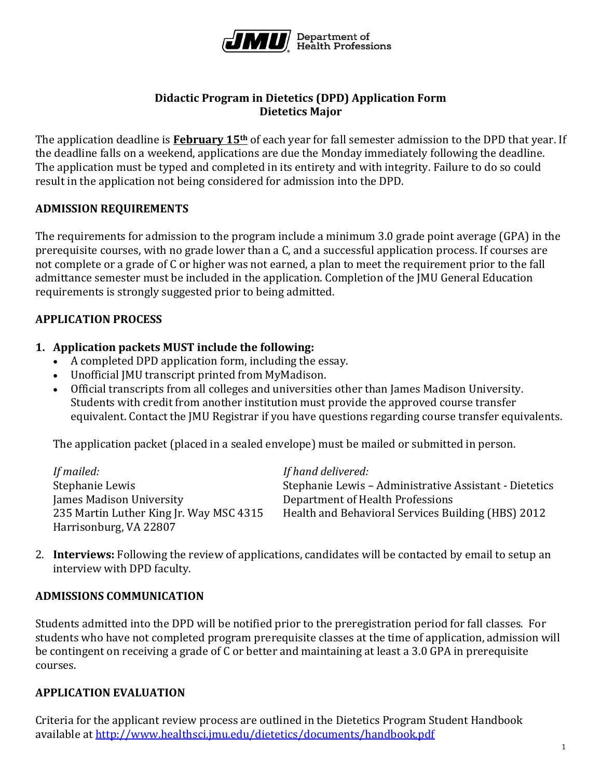

### **Didactic Program in Dietetics (DPD) Application Form Dietetics Major**

The application deadline is **February 15th** of each year for fall semester admission to the DPD that year. If the deadline falls on a weekend, applications are due the Monday immediately following the deadline. The application must be typed and completed in its entirety and with integrity. Failure to do so could result in the application not being considered for admission into the DPD.

# **ADMISSION REQUIREMENTS**

The requirements for admission to the program include a minimum 3.0 grade point average (GPA) in the prerequisite courses, with no grade lower than a C, and a successful application process. If courses are not complete or a grade of C or higher was not earned, a plan to meet the requirement prior to the fall admittance semester must be included in the application. Completion of the JMU General Education requirements is strongly suggested prior to being admitted.

# **APPLICATION PROCESS**

# **1. Application packets MUST include the following:**

- A completed DPD application form, including the essay.
- Unofficial JMU transcript printed from MyMadison.
- Official transcripts from all colleges and universities other than James Madison University. Students with credit from another institution must provide the approved course transfer equivalent. Contact the JMU Registrar if you have questions regarding course transfer equivalents.

The application packet (placed in a sealed envelope) must be mailed or submitted in person.

| If mailed:                              | If hand delivered:                                     |
|-----------------------------------------|--------------------------------------------------------|
| Stephanie Lewis                         | Stephanie Lewis – Administrative Assistant - Dietetics |
| James Madison University                | Department of Health Professions                       |
| 235 Martin Luther King Jr. Way MSC 4315 | Health and Behavioral Services Building (HBS) 2012     |
| Harrisonburg, VA 22807                  |                                                        |

2. **Interviews:** Following the review of applications, candidates will be contacted by email to setup an interview with DPD faculty.

#### **ADMISSIONS COMMUNICATION**

Students admitted into the DPD will be notified prior to the preregistration period for fall classes. For students who have not completed program prerequisite classes at the time of application, admission will be contingent on receiving a grade of C or better and maintaining at least a 3.0 GPA in prerequisite courses.

#### **APPLICATION EVALUATION**

Criteria for the applicant review process are outlined in the Dietetics Program Student Handbook available at<http://www.healthsci.jmu.edu/dietetics/documents/handbook.pdf>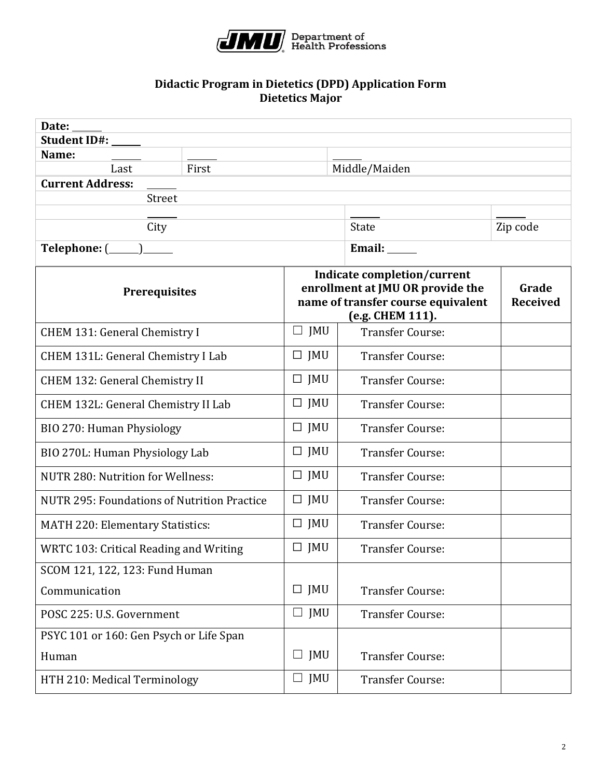

#### **Didactic Program in Dietetics (DPD) Application Form Dietetics Major**

| Date:                                       |       |                                                                                                                           |                         |                          |
|---------------------------------------------|-------|---------------------------------------------------------------------------------------------------------------------------|-------------------------|--------------------------|
| Student ID#:                                |       |                                                                                                                           |                         |                          |
| Name:<br>Last                               | First |                                                                                                                           | Middle/Maiden           |                          |
| <b>Current Address:</b>                     |       |                                                                                                                           |                         |                          |
| Street                                      |       |                                                                                                                           |                         |                          |
|                                             |       |                                                                                                                           |                         |                          |
| City                                        |       |                                                                                                                           | <b>State</b>            | Zip code                 |
|                                             |       |                                                                                                                           | Email: _____            |                          |
| <b>Prerequisites</b>                        |       | Indicate completion/current<br>enrollment at JMU OR provide the<br>name of transfer course equivalent<br>(e.g. CHEM 111). |                         | Grade<br><b>Received</b> |
| CHEM 131: General Chemistry I               |       | $\Box$ JMU                                                                                                                | <b>Transfer Course:</b> |                          |
| CHEM 131L: General Chemistry I Lab          |       | $\Box$ JMU                                                                                                                | <b>Transfer Course:</b> |                          |
| <b>CHEM 132: General Chemistry II</b>       |       | $\Box$ JMU                                                                                                                | <b>Transfer Course:</b> |                          |
| CHEM 132L: General Chemistry II Lab         |       | $\Box$ JMU                                                                                                                | <b>Transfer Course:</b> |                          |
| BIO 270: Human Physiology                   |       | $\Box$ JMU                                                                                                                | <b>Transfer Course:</b> |                          |
| BIO 270L: Human Physiology Lab              |       | $\Box$ JMU                                                                                                                | <b>Transfer Course:</b> |                          |
| <b>NUTR 280: Nutrition for Wellness:</b>    |       | $\Box$ JMU                                                                                                                | <b>Transfer Course:</b> |                          |
| NUTR 295: Foundations of Nutrition Practice |       | $\Box$ JMU                                                                                                                | <b>Transfer Course:</b> |                          |
| MATH 220: Elementary Statistics:            |       | $\Box$ JMU                                                                                                                | <b>Transfer Course:</b> |                          |
| WRTC 103: Critical Reading and Writing      |       | $\Box$ JMU                                                                                                                | <b>Transfer Course:</b> |                          |
| SCOM 121, 122, 123: Fund Human              |       |                                                                                                                           |                         |                          |
| Communication                               |       | $\Box$ JMU                                                                                                                | <b>Transfer Course:</b> |                          |
| POSC 225: U.S. Government                   |       | $\Box$ JMU                                                                                                                | <b>Transfer Course:</b> |                          |
| PSYC 101 or 160: Gen Psych or Life Span     |       |                                                                                                                           |                         |                          |
| Human                                       |       | $\Box$ JMU                                                                                                                | <b>Transfer Course:</b> |                          |
| HTH 210: Medical Terminology                |       | $\Box$ JMU                                                                                                                | <b>Transfer Course:</b> |                          |